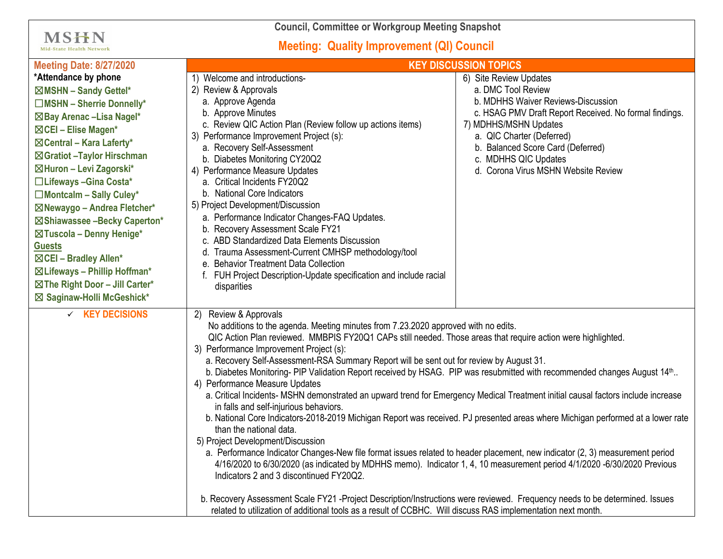**Council, Committee or Workgroup Meeting Snapshot**

## **Meeting: Quality Improvement (QI) Council**

**MSHN** Mid-State Health Network

| <b>Meeting Date: 8/27/2020</b>  | <b>KEY DISCUSSION TOPICS</b>                                                                                                                                                                                                                                                                                                                                                                                                                                                                                                                                                                                                                                                                                                                                                                                                                                                                                                                                                                                                                                                                                                                                                                                            |                                                                |
|---------------------------------|-------------------------------------------------------------------------------------------------------------------------------------------------------------------------------------------------------------------------------------------------------------------------------------------------------------------------------------------------------------------------------------------------------------------------------------------------------------------------------------------------------------------------------------------------------------------------------------------------------------------------------------------------------------------------------------------------------------------------------------------------------------------------------------------------------------------------------------------------------------------------------------------------------------------------------------------------------------------------------------------------------------------------------------------------------------------------------------------------------------------------------------------------------------------------------------------------------------------------|----------------------------------------------------------------|
| *Attendance by phone            | 1) Welcome and introductions-                                                                                                                                                                                                                                                                                                                                                                                                                                                                                                                                                                                                                                                                                                                                                                                                                                                                                                                                                                                                                                                                                                                                                                                           | 6) Site Review Updates                                         |
| ⊠MSHN - Sandy Gettel*           | 2) Review & Approvals                                                                                                                                                                                                                                                                                                                                                                                                                                                                                                                                                                                                                                                                                                                                                                                                                                                                                                                                                                                                                                                                                                                                                                                                   | a. DMC Tool Review                                             |
| $\Box$ MSHN - Sherrie Donnelly* | a. Approve Agenda                                                                                                                                                                                                                                                                                                                                                                                                                                                                                                                                                                                                                                                                                                                                                                                                                                                                                                                                                                                                                                                                                                                                                                                                       | b. MDHHS Waiver Reviews-Discussion                             |
| ⊠Bay Arenac -Lisa Nagel*        | b. Approve Minutes                                                                                                                                                                                                                                                                                                                                                                                                                                                                                                                                                                                                                                                                                                                                                                                                                                                                                                                                                                                                                                                                                                                                                                                                      | c. HSAG PMV Draft Report Received. No formal findings.         |
| ⊠CEI - Elise Magen*             | c. Review QIC Action Plan (Review follow up actions items)                                                                                                                                                                                                                                                                                                                                                                                                                                                                                                                                                                                                                                                                                                                                                                                                                                                                                                                                                                                                                                                                                                                                                              | 7) MDHHS/MSHN Updates                                          |
| ⊠Central - Kara Laferty*        | 3) Performance Improvement Project (s):                                                                                                                                                                                                                                                                                                                                                                                                                                                                                                                                                                                                                                                                                                                                                                                                                                                                                                                                                                                                                                                                                                                                                                                 | a. QIC Charter (Deferred)<br>b. Balanced Score Card (Deferred) |
| ⊠Gratiot - Taylor Hirschman     | a. Recovery Self-Assessment<br>b. Diabetes Monitoring CY20Q2                                                                                                                                                                                                                                                                                                                                                                                                                                                                                                                                                                                                                                                                                                                                                                                                                                                                                                                                                                                                                                                                                                                                                            | c. MDHHS QIC Updates                                           |
| ⊠Huron - Levi Zagorski*         | 4) Performance Measure Updates                                                                                                                                                                                                                                                                                                                                                                                                                                                                                                                                                                                                                                                                                                                                                                                                                                                                                                                                                                                                                                                                                                                                                                                          | d. Corona Virus MSHN Website Review                            |
| □Lifeways - Gina Costa*         | a. Critical Incidents FY20Q2                                                                                                                                                                                                                                                                                                                                                                                                                                                                                                                                                                                                                                                                                                                                                                                                                                                                                                                                                                                                                                                                                                                                                                                            |                                                                |
| □Montcalm - Sally Culey*        | b. National Core Indicators                                                                                                                                                                                                                                                                                                                                                                                                                                                                                                                                                                                                                                                                                                                                                                                                                                                                                                                                                                                                                                                                                                                                                                                             |                                                                |
| ⊠Newaygo - Andrea Fletcher*     | 5) Project Development/Discussion                                                                                                                                                                                                                                                                                                                                                                                                                                                                                                                                                                                                                                                                                                                                                                                                                                                                                                                                                                                                                                                                                                                                                                                       |                                                                |
| ⊠Shiawassee -Becky Caperton*    | a. Performance Indicator Changes-FAQ Updates.                                                                                                                                                                                                                                                                                                                                                                                                                                                                                                                                                                                                                                                                                                                                                                                                                                                                                                                                                                                                                                                                                                                                                                           |                                                                |
| ⊠Tuscola - Denny Henige*        | b. Recovery Assessment Scale FY21                                                                                                                                                                                                                                                                                                                                                                                                                                                                                                                                                                                                                                                                                                                                                                                                                                                                                                                                                                                                                                                                                                                                                                                       |                                                                |
| <b>Guests</b>                   | c. ABD Standardized Data Elements Discussion                                                                                                                                                                                                                                                                                                                                                                                                                                                                                                                                                                                                                                                                                                                                                                                                                                                                                                                                                                                                                                                                                                                                                                            |                                                                |
| ⊠CEI - Bradley Allen*           | d. Trauma Assessment-Current CMHSP methodology/tool<br>e. Behavior Treatment Data Collection                                                                                                                                                                                                                                                                                                                                                                                                                                                                                                                                                                                                                                                                                                                                                                                                                                                                                                                                                                                                                                                                                                                            |                                                                |
| ⊠Lifeways - Phillip Hoffman*    | f. FUH Project Description-Update specification and include racial                                                                                                                                                                                                                                                                                                                                                                                                                                                                                                                                                                                                                                                                                                                                                                                                                                                                                                                                                                                                                                                                                                                                                      |                                                                |
| ⊠The Right Door - Jill Carter*  | disparities                                                                                                                                                                                                                                                                                                                                                                                                                                                                                                                                                                                                                                                                                                                                                                                                                                                                                                                                                                                                                                                                                                                                                                                                             |                                                                |
| ⊠ Saginaw-Holli McGeshick*      |                                                                                                                                                                                                                                                                                                                                                                                                                                                                                                                                                                                                                                                                                                                                                                                                                                                                                                                                                                                                                                                                                                                                                                                                                         |                                                                |
| $\times$ KEY DECISIONS          | 2) Review & Approvals<br>No additions to the agenda. Meeting minutes from 7.23.2020 approved with no edits.<br>QIC Action Plan reviewed. MMBPIS FY20Q1 CAPs still needed. Those areas that require action were highlighted.<br>3) Performance Improvement Project (s):<br>a. Recovery Self-Assessment-RSA Summary Report will be sent out for review by August 31.<br>b. Diabetes Monitoring- PIP Validation Report received by HSAG. PIP was resubmitted with recommended changes August 14th<br>4) Performance Measure Updates<br>a. Critical Incidents- MSHN demonstrated an upward trend for Emergency Medical Treatment initial causal factors include increase<br>in falls and self-injurious behaviors.<br>b. National Core Indicators-2018-2019 Michigan Report was received. PJ presented areas where Michigan performed at a lower rate<br>than the national data.<br>5) Project Development/Discussion<br>a. Performance Indicator Changes-New file format issues related to header placement, new indicator (2, 3) measurement period<br>4/16/2020 to 6/30/2020 (as indicated by MDHHS memo). Indicator 1, 4, 10 measurement period 4/1/2020 -6/30/2020 Previous<br>Indicators 2 and 3 discontinued FY20Q2. |                                                                |
|                                 | b. Recovery Assessment Scale FY21 -Project Description/Instructions were reviewed. Frequency needs to be determined. Issues<br>related to utilization of additional tools as a result of CCBHC. Will discuss RAS implementation next month.                                                                                                                                                                                                                                                                                                                                                                                                                                                                                                                                                                                                                                                                                                                                                                                                                                                                                                                                                                             |                                                                |